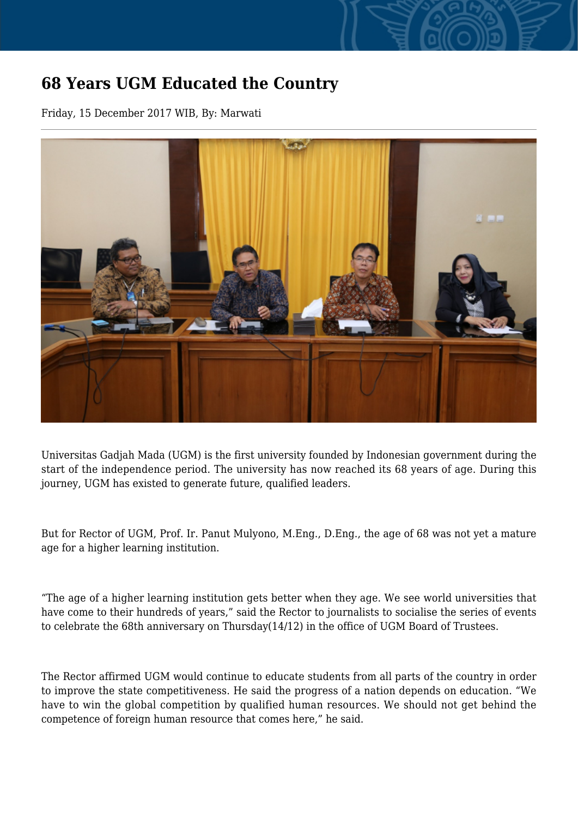## **68 Years UGM Educated the Country**

Friday, 15 December 2017 WIB, By: Marwati



Universitas Gadjah Mada (UGM) is the first university founded by Indonesian government during the start of the independence period. The university has now reached its 68 years of age. During this journey, UGM has existed to generate future, qualified leaders.

But for Rector of UGM, Prof. Ir. Panut Mulyono, M.Eng., D.Eng., the age of 68 was not yet a mature age for a higher learning institution.

"The age of a higher learning institution gets better when they age. We see world universities that have come to their hundreds of years," said the Rector to journalists to socialise the series of events to celebrate the 68th anniversary on Thursday(14/12) in the office of UGM Board of Trustees.

The Rector affirmed UGM would continue to educate students from all parts of the country in order to improve the state competitiveness. He said the progress of a nation depends on education. "We have to win the global competition by qualified human resources. We should not get behind the competence of foreign human resource that comes here," he said.